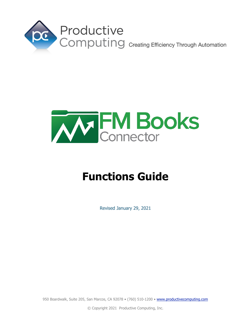



# **Functions Guide**

Revised January 29, 2021

950 Boardwalk, Suite 205, San Marcos, CA 92078 · (760) 510-1200 · [www.productivecomputing.com](http://www.productivecomputing.com/)

© Copyright 2021 Productive Computing, Inc.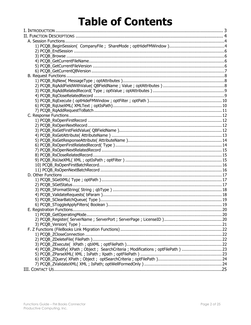# **Table of Contents**

| 4) PCQB_ZModify(XPath; Object; SearchCriteria; Modifications; optFilePath)23 |  |
|------------------------------------------------------------------------------|--|
|                                                                              |  |
|                                                                              |  |
|                                                                              |  |
|                                                                              |  |
|                                                                              |  |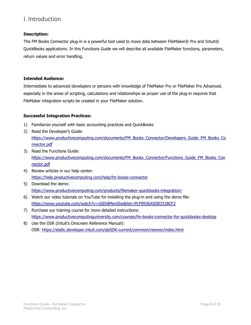## <span id="page-2-0"></span>I. Introduction

## **Description:**

The FM Books Connector plug-in is a powerful tool used to move data between FileMaker® Pro and Intuit® QuickBooks applications. In this Functions Guide we will describe all available FileMaker functions, parameters, return values and error handling.

#### **Intended Audience:**

Intermediate to advanced developers or persons with knowledge of FileMaker Pro or FileMaker Pro Advanced, especially in the areas of scripting, calculations and relationships as proper use of the plug-in requires that FileMaker integration scripts be created in your FileMaker solution.

## **Successful Integration Practices:**

- 1) Familiarize yourself with basic accounting practices and QuickBooks
- 2) Read the Developer's Guide: [https://www.productivecomputing.com/documents/FM\\_Books\\_Connector/Developers\\_Guide\\_FM\\_Books\\_Co](https://www.productivecomputing.com/documents/FM_Books_Connector/Developers_Guide_FM_Books_Connector.pdf) [nnector.pdf](https://www.productivecomputing.com/documents/FM_Books_Connector/Developers_Guide_FM_Books_Connector.pdf)
- 3) Read the Functions Guide: [https://www.productivecomputing.com/documents/FM\\_Books\\_Connector/Functions\\_Guide\\_FM\\_Books\\_Con](https://www.productivecomputing.com/documents/FM_Books_Connector/Functions_Guide_FM_Books_Connector.pdf) [nector.pdf](https://www.productivecomputing.com/documents/FM_Books_Connector/Functions_Guide_FM_Books_Connector.pdf)
- 4) Review articles in our help center: <https://help.productivecomputing.com/help/fm-books-connector>
- 5) Download the demo: <https://www.productivecomputing.com/products/filemaker-quickbooks-integration/>
- 6) Watch our video tutorials on YouTube for installing the plug-in and using the demo file: <https://www.youtube.com/watch?v=zSEh8MerdSw&list=PLF9936A5DB331BCF2>
- 7) Purchase our training course for more detailed instructions: <https://www.productivecomputinguniversity.com/courses/fm-books-connector-for-quickbooks-desktop>
- 8) Use the OSR (Intuit's Onscreen Reference Manual): OSR: <https://static.developer.intuit.com/qbSDK-current/common/newosr/index.html>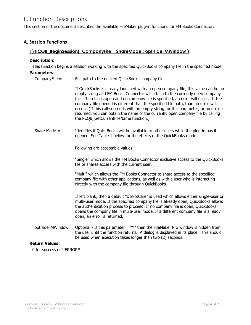# <span id="page-3-0"></span>II. Function Descriptions

<span id="page-3-1"></span>This section of the document describes the available FileMaker plug-in functions for FM Books Connector.

<span id="page-3-2"></span>

| <b>A. Session Functions</b>                                       |                                                                                                                                                                                                                                                                                                                                                                                                                                                                                                                                                                         |  |  |  |
|-------------------------------------------------------------------|-------------------------------------------------------------------------------------------------------------------------------------------------------------------------------------------------------------------------------------------------------------------------------------------------------------------------------------------------------------------------------------------------------------------------------------------------------------------------------------------------------------------------------------------------------------------------|--|--|--|
| 1) PCQB_BeginSession( CompanyFile ; ShareMode ; optHideFMWindow ) |                                                                                                                                                                                                                                                                                                                                                                                                                                                                                                                                                                         |  |  |  |
| <b>Description:</b>                                               |                                                                                                                                                                                                                                                                                                                                                                                                                                                                                                                                                                         |  |  |  |
|                                                                   | This function begins a session working with the specified QuickBooks company file in the specified mode.                                                                                                                                                                                                                                                                                                                                                                                                                                                                |  |  |  |
| <b>Parameters:</b>                                                |                                                                                                                                                                                                                                                                                                                                                                                                                                                                                                                                                                         |  |  |  |
| CompanyFile $=$                                                   | Full path to the desired QuickBooks company file.                                                                                                                                                                                                                                                                                                                                                                                                                                                                                                                       |  |  |  |
|                                                                   | If QuickBooks is already launched with an open company file, this value can be an<br>empty string and FM Books Connector will attach to the currently open company<br>file. If no file is open and no company file is specified, an error will occur. If the<br>company file opened is different than the specified file path, than an error will<br>occur. (If this call succeeds with an empty string for this parameter, or an error is<br>returned, you can obtain the name of the currently open company file by calling<br>the PCQB_GetCurrentFileName function.) |  |  |  |
| Share Mode $=$                                                    | Identifies if QuickBooks will be available to other users while the plug-in has it<br>opened. See Table 1 below for the effects of the QuickBooks mode.                                                                                                                                                                                                                                                                                                                                                                                                                 |  |  |  |
|                                                                   | Following are acceptable values:                                                                                                                                                                                                                                                                                                                                                                                                                                                                                                                                        |  |  |  |
|                                                                   | "Single" which allows the FM Books Connector exclusive access to the QuickBooks<br>file or shares access with the current user.                                                                                                                                                                                                                                                                                                                                                                                                                                         |  |  |  |
|                                                                   | "Multi" which allows the FM Books Connector to share access to the specified<br>company file with other applications, as well as with a user who is interacting<br>directly with the company file through QuickBooks.                                                                                                                                                                                                                                                                                                                                                   |  |  |  |
|                                                                   | If left blank, then a default "DoNotCare" is used which allows either single-user or<br>multi-user mode. If the specified company file is already open, QuickBooks allows<br>the authentication process to proceed. If no company file is open, QuickBooks<br>opens the company file in multi-user mode. If a different company file is already<br>open, an error is returned.                                                                                                                                                                                          |  |  |  |
|                                                                   | optHideFMWindow = Optional - If this parameter = "Y" then the FileMaker Pro window is hidden from<br>the user until the function returns. A dialog is displayed in its place. This should<br>be used when execution takes longer than two (2) seconds.                                                                                                                                                                                                                                                                                                                  |  |  |  |
| <b>Return Values:</b>                                             |                                                                                                                                                                                                                                                                                                                                                                                                                                                                                                                                                                         |  |  |  |
| 0 for success or !!ERROR!!                                        |                                                                                                                                                                                                                                                                                                                                                                                                                                                                                                                                                                         |  |  |  |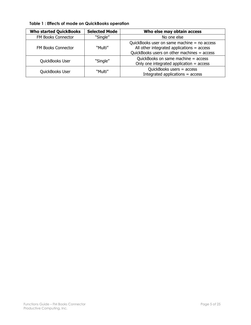| <b>Who started QuickBooks</b> | <b>Selected Mode</b> | Who else may obtain access                                                                                                                     |
|-------------------------------|----------------------|------------------------------------------------------------------------------------------------------------------------------------------------|
| FM Books Connector            | "Single"             | No one else                                                                                                                                    |
| <b>FM Books Connector</b>     | "Multi"              | QuickBooks user on same machine $=$ no access<br>All other integrated applications $=$ access<br>QuickBooks users on other machines $=$ access |
| QuickBooks User               | "Single"             | QuickBooks on same machine = access<br>Only one integrated application $=$ access                                                              |
| QuickBooks User               | "Multi"              | QuickBooks users $=$ access<br>Integrated applications = access                                                                                |

**Table 1 : Effects of mode on QuickBooks operation**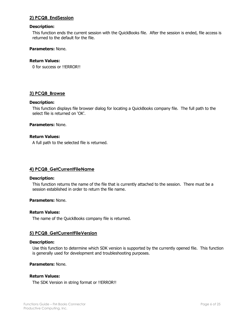## <span id="page-5-0"></span>**2) PCQB\_EndSession**

#### **Description:**

This function ends the current session with the QuickBooks file. After the session is ended, file access is returned to the default for the file.

#### **Parameters:** None.

#### **Return Values:**

0 for success or !!ERROR!!

## <span id="page-5-1"></span>**3) PCQB\_Browse**

#### **Description:**

This function displays file browser dialog for locating a QuickBooks company file. The full path to the select file is returned on 'OK'.

#### **Parameters:** None.

## **Return Values:**

A full path to the selected file is returned.

## <span id="page-5-2"></span>**4) PCQB\_GetCurrentFileName**

#### **Description:**

This function returns the name of the file that is currently attached to the session. There must be a session established in order to return the file name.

#### **Parameters:** None.

#### **Return Values:**

The name of the QuickBooks company file is returned.

## <span id="page-5-3"></span>**5) PCQB\_GetCurrentFileVersion**

#### **Description:**

Use this function to determine which SDK version is supported by the currently opened file. This function is generally used for development and troubleshooting purposes.

#### **Parameters:** None.

#### **Return Values:**

The SDK Version in string format or !!ERROR!!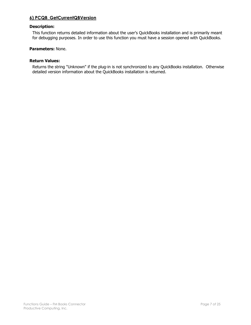## <span id="page-6-0"></span>**6) PCQB\_GetCurrentQBVersion**

## **Description:**

This function returns detailed information about the user's QuickBooks installation and is primarily meant for debugging purposes. In order to use this function you must have a session opened with QuickBooks.

#### **Parameters:** None.

#### **Return Values:**

Returns the string "Unknown" if the plug-in is not synchronized to any QuickBooks installation. Otherwise detailed version information about the QuickBooks installation is returned.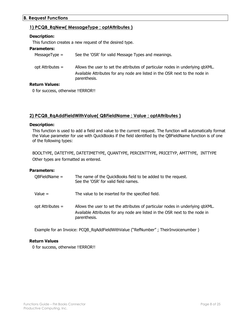## <span id="page-7-1"></span><span id="page-7-0"></span>**B. Request Functions**

## **1) PCQB\_RqNew( MessageType ; optAttributes )**

## **Description:**

This function creates a new request of the desired type.

#### **Parameters:**

| $MessageType =$    | See the 'OSR' for valid Message Types and meanings.                                                                                                                           |
|--------------------|-------------------------------------------------------------------------------------------------------------------------------------------------------------------------------|
| opt Attributes =   | Allows the user to set the attributes of particular nodes in underlying qbXML.<br>Available Attributes for any node are listed in the OSR next to the node in<br>parenthesis. |
| <u>tuva Valoaa</u> |                                                                                                                                                                               |

## **Return Values:**

0 for success, otherwise !!ERROR!!

## <span id="page-7-2"></span>**2) PCQB\_RqAddFieldWithValue( QBFieldName ; Value ; optAttributes )**

#### **Description:**

This function is used to add a field and value to the current request. The function will automatically format the Value parameter for use with QuickBooks if the field identified by the QBFieldName function is of one of the following types:

BOOLTYPE, DATETYPE, DATETIMETYPE, QUANTYPE, PERCENTTYPE, PRICETYP, AMTTYPE, INTTYPE Other types are formatted as entered.

#### **Parameters:**

| $QBFieldName =$  | The name of the QuickBooks field to be added to the request.<br>See the 'OSR' for valid field names.                                                                          |
|------------------|-------------------------------------------------------------------------------------------------------------------------------------------------------------------------------|
| Value $=$        | The value to be inserted for the specified field.                                                                                                                             |
| opt Attributes = | Allows the user to set the attributes of particular nodes in underlying qbXML.<br>Available Attributes for any node are listed in the OSR next to the node in<br>parenthesis. |

Example for an Invoice: PCQB\_RqAddFieldWithValue ("RefNumber" ; TheirInvoicenumber )

## **Return Values**

0 for success, otherwise !!ERROR!!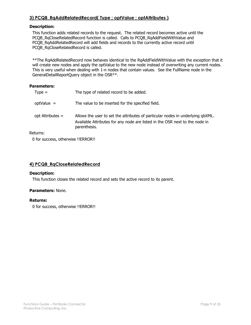## <span id="page-8-0"></span>**3) PCQB\_RqAddRelatedRecord( Type ; optValue ; optAttributes )**

## **Description:**

This function adds related records to the request. The related record becomes active until the PCQB\_RqCloseRelatedRecord function is called. Calls to PCQB\_RqAddFieldWithValue and PCQB\_RqAddRelatedRecord will add fields and records to the currently active record until PCQB\_RqCloseRelatedRecord is called.

\*\*The RqAddRelatedRecord now behaves identical to the RqAddFieldWithValue with the exception that it will create new nodes and apply the optValue to the new node instead of overwriting any current nodes. This is very useful when dealing with 1-n nodes that contain values. See the FullName node in the GeneralDetailReportQuery object in the OSR\*\*.

#### **Parameters:**

| $Type =$         | The type of related record to be added.                                                                                                                                       |  |  |
|------------------|-------------------------------------------------------------------------------------------------------------------------------------------------------------------------------|--|--|
| $optValue =$     | The value to be inserted for the specified field.                                                                                                                             |  |  |
| opt Attributes = | Allows the user to set the attributes of particular nodes in underlying qbXML.<br>Available Attributes for any node are listed in the OSR next to the node in<br>parenthesis. |  |  |
| Returns:         |                                                                                                                                                                               |  |  |

0 for success, otherwise !!ERROR!!

## <span id="page-8-1"></span>**4) PCQB\_RqCloseRelatedRecord**

#### **Description:**

This function closes the related record and sets the active record to its parent.

#### **Parameters:** None.

#### **Returns:**

0 for success, otherwise !!ERROR!!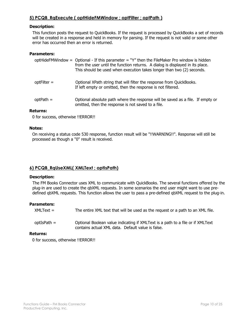## <span id="page-9-0"></span>**5) PCQB\_RqExecute ( optHideFMWindow ; optFilter ; optPath )**

## **Description:**

This function posts the request to QuickBooks. If the request is processed by QuickBooks a set of records will be created in a response and held in memory for parsing. If the request is not valid or some other error has occurred then an error is returned.

#### **Parameters:**

|             | optHideFMWindow = Optional - If this parameter = $\gamma$ " then the FileMaker Pro window is hidden<br>from the user until the function returns. A dialog is displayed in its place.<br>This should be used when execution takes longer than two (2) seconds. |
|-------------|---------------------------------------------------------------------------------------------------------------------------------------------------------------------------------------------------------------------------------------------------------------|
| optFilter = | Optional XPath string that will filter the response from QuickBooks.<br>If left empty or omitted, then the response is not filtered.                                                                                                                          |
| $optPath =$ | Optional absolute path where the response will be saved as a file. If empty or<br>omitted, then the response is not saved to a file.                                                                                                                          |

## **Returns:**

0 for success, otherwise !!ERROR!!

#### **Notes:**

On receiving a status code 530 response, function result will be "!!WARNING!!". Response will still be processed as though a "0" result is received.

## <span id="page-9-1"></span>**6) PCQB\_RqUseXML( XMLText ; optIsPath)**

#### **Description:**

The FM Books Connector uses XML to communicate with QuickBooks. The several functions offered by the plug-in are used to create the qbXML requests. In some scenarios the end user might want to use predefined qbXML requests. This function allows the user to pass a pre-defined qbXML request to the plug-in.

## **Parameters:**

 $XMLText =$  The entire  $XML$  text that will be used as the request or a path to an  $XML$  file.

optIsPath = Optional Boolean value indicating if XMLText is a path to a file or if XMLText contains actual XML data. Default value is false.

## **Returns:**

0 for success, otherwise !!ERROR!!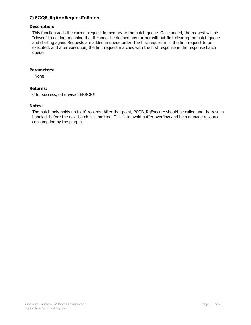## <span id="page-10-0"></span>**7) PCQB\_RqAddRequestToBatch**

## **Description:**

This function adds the current request in memory to the batch queue. Once added, the request will be "closed" to editing, meaning that it cannot be defined any further without first clearing the batch queue and starting again. Requests are added in queue order: the first request in is the first request to be executed, and after execution, the first request matches with the first response in the response batch queue.

## **Parameters:**

None

#### **Returns:**

0 for success, otherwise !!ERROR!!

#### **Notes:**

The batch only holds up to 10 records. After that point, PCQB\_RqExecute should be called and the results handled, before the next batch is submitted. This is to avoid buffer overflow and help manage resource consumption by the plug-in.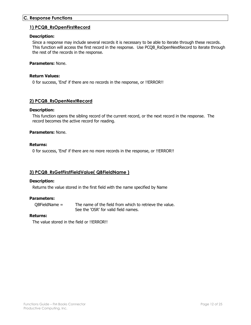## <span id="page-11-1"></span><span id="page-11-0"></span>**C. Response Functions**

#### **1) PCQB\_RsOpenFirstRecord**

#### **Description:**

Since a response may include several records it is necessary to be able to iterate through these records. This function will access the first record in the response. Use PCQB\_RsOpenNextRecord to iterate through the rest of the records in the response.

## **Parameters:** None.

#### **Return Values:**

0 for success, 'End' if there are no records in the response, or !!ERROR!!

## <span id="page-11-2"></span>**2) PCQB\_RsOpenNextRecord**

#### **Description:**

This function opens the sibling record of the current record, or the next record in the response. The record becomes the active record for reading.

#### **Parameters:** None.

#### **Returns:**

0 for success, 'End' if there are no more records in the response, or !!ERROR!!

## <span id="page-11-3"></span>**3) PCQB\_RsGetFirstFieldValue( QBFieldName )**

#### **Description:**

Returns the value stored in the first field with the name specified by Name

#### **Parameters:**

QBFieldName = The name of the field from which to retrieve the value. See the 'OSR' for valid field names.

#### **Returns:**

The value stored in the field or !!ERROR!!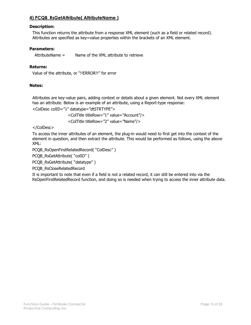## <span id="page-12-0"></span>**4) PCQB\_RsGetAttribute( AttributeName )**

## **Description:**

This function returns the attribute from a response XML element (such as a field or related record). Attributes are specified as key=value properties within the brackets of an XML element.

#### **Parameters:**

AttributeName = Name of the XML attribute to retrieve

#### **Returns:**

Value of the attribute, or "!!ERROR!!" for error

#### **Notes:**

Attributes are key-value pairs, adding context or details about a given element. Not every XML element has an attribute. Below is an example of an attribute, using a Report-type response:

<ColDesc colID="1" datatype="dtSTRTYPE">

<ColTitle titleRow="1" value="Account"/> <ColTitle titleRow="2" value="Name"/>

</ColDesc>

To access the inner attributes of an element, the plug-in would need to first get into the context of the element in question, and then extract the attribute. This would be performed as follows, using the above XML:

PCQB\_RsOpenFirstRelatedRecord( "ColDesc" )

PCQB\_RsGetAttribute( "colID" )

PCQB\_RsGetAttribute( "datatype" )

PCQB\_RsCloseRelatedRecord

It is important to note that even if a field is not a related record, it can still be entered into via the RsOpenFirstRelatedRecord function, and doing so is needed when trying to access the inner attribute data.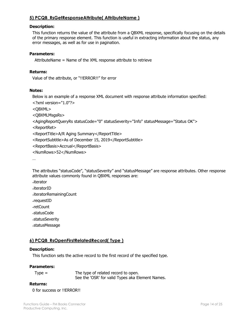## <span id="page-13-0"></span>**5) PCQB\_RsGetResponseAttribute( AttributeName )**

#### **Description:**

This function returns the value of the attribute from a QBXML response, specifically focusing on the details of the primary response element. This function is useful in extracting information about the status, any error messages, as well as for use in pagination.

## **Parameters:**

AttributeName = Name of the XML response attribute to retrieve

#### **Returns:**

Value of the attribute, or "!!ERROR!!" for error

## **Notes:**

Below is an example of a response XML document with response attribute information specified:

<?xml version="1.0"?>

<QBXML>

<QBXMLMsgsRs>

```
<AgingReportQueryRs statusCode="0" statusSeverity="Info" statusMessage="Status OK">
```
<ReportRet>

- <ReportTitle>A/R Aging Summary</ReportTitle>
- <ReportSubtitle>As of December 15, 2019</ReportSubtitle>
- <ReportBasis>Accrual</ReportBasis>
- <NumRows>52</NumRows>

…

The attributes "statusCode", "statusSeverity" and "statusMessage" are response attributes. Other response attribute values commonly found in QBXML responses are:

-iterator

-iteratorID

-iteratorRemainingCount

-requestID

-retCount

-statusCode

-statusSeverity

-statusMessage

## <span id="page-13-1"></span>**6) PCQB\_RsOpenFirstRelatedRecord( Type )**

#### **Description:**

This function sets the active record to the first record of the specified type.

#### **Parameters:**

| $Type =$ | The type of related record to open.              |
|----------|--------------------------------------------------|
|          | See the 'OSR' for valid Types aka Element Names. |

## **Returns:**

0 for success or !!ERROR!!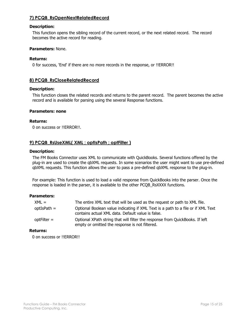## <span id="page-14-0"></span>**7) PCQB\_RsOpenNextRelatedRecord**

## **Description:**

This function opens the sibling record of the current record, or the next related record. The record becomes the active record for reading.

#### **Parameters:** None.

#### **Returns:**

0 for success, 'End' if there are no more records in the response, or !!ERROR!!

## <span id="page-14-1"></span>**8) PCQB\_RsCloseRelatedRecord**

#### **Description:**

This function closes the related records and returns to the parent record. The parent becomes the active record and is available for parsing using the several Response functions.

#### **Parameters: none**

#### **Returns:**

0 on success or !!ERROR!!.

## <span id="page-14-2"></span>**9) PCQB\_RsUseXML( XML ; optIsPath ; optFilter )**

#### **Description:**

The FM Books Connector uses XML to communicate with QuickBooks. Several functions offered by the plug-in are used to create the qbXML requests. In some scenarios the user might want to use pre-defined qbXML requests. This function allows the user to pass a pre-defined qbXML response to the plug-in.

For example: This function is used to load a valid response from QuickBooks into the parser. Once the response is loaded in the parser, it is available to the other PCQB\_RsXXXX functions.

#### **Parameters:**

| $XML =$       | The entire XML text that will be used as the request or path to XML file.                                                             |
|---------------|---------------------------------------------------------------------------------------------------------------------------------------|
| $optIsPath =$ | Optional Boolean value indicating if XML Text is a path to a file or if XML Text<br>contains actual XML data. Default value is false. |
| $optFilter =$ | Optional XPath string that will filter the response from QuickBooks. If left<br>empty or omitted the response is not filtered.        |

## **Returns:**

0 on success or !!ERROR!!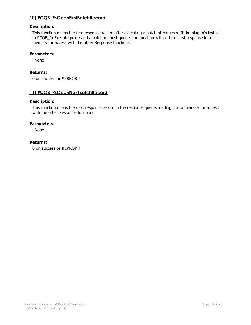## <span id="page-15-0"></span>**10) PCQB\_RsOpenFirstBatchRecord**

## **Description:**

This function opens the first response record after executing a batch of requests. If the plug-in's last call to PCQB\_RqExecute processed a batch request queue, the function will load the first response into memory for access with the other Response functions.

#### **Parameters:**

None

## **Returns:**

0 on success or !!ERROR!!

## <span id="page-15-1"></span>**11) PCQB\_RsOpenNextBatchRecord**

#### **Description:**

This function opens the next response record in the response queue, loading it into memory for access with the other Response functions.

#### **Parameters:**

None

## **Returns:**

0 on success or !!ERROR!!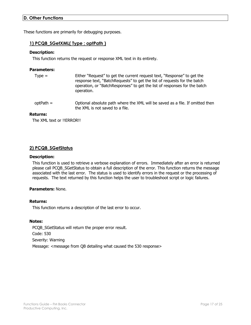## <span id="page-16-0"></span>**D. Other Functions**

<span id="page-16-1"></span>These functions are primarily for debugging purposes.

## **1) PCQB\_SGetXML( Type ; optPath )**

## **Description:**

This function returns the request or response XML text in its entirety.

#### **Parameters:**

| $Type =$ | Either "Request" to get the current request text, "Response" to get the   |
|----------|---------------------------------------------------------------------------|
|          | response text, "BatchRequests" to get the list of requests for the batch  |
|          | operation, or "BatchResponses" to get the list of responses for the batch |
|          | operation.                                                                |

optPath = Optional absolute path where the XML will be saved as a file. If omitted then the XML is not saved to a file.

#### **Returns:**

The XML text or !!ERROR!!

## <span id="page-16-2"></span>**2) PCQB\_SGetStatus**

#### **Description:**

This function is used to retrieve a verbose explanation of errors. Immediately after an error is returned please call PCQB\_SGetStatus to obtain a full description of the error. This function returns the message associated with the last error. The status is used to identify errors in the request or the processing of requests. The text returned by this function helps the user to troubleshoot script or logic failures.

## **Parameters:** None.

#### **Returns:**

This function returns a description of the last error to occur.

#### **Notes:**

PCQB\_SGetStatus will return the proper error result. Code: 530 Severity: Warning Message: <message from QB detailing what caused the 530 response>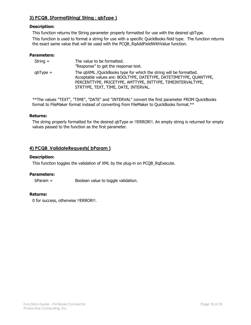## <span id="page-17-0"></span>**3) PCQB\_SFormatString( String ; qbType )**

## **Description:**

This function returns the String parameter properly formatted for use with the desired qbType.

This function is used to format a string for use with a specific QuickBooks field type. The function returns the exact same value that will be used with the PCQB\_RqAddFieldWithValue function.

## **Parameters:**

| String =   | The value to be formatted.<br>"Response" to get the response text.                                                                                                                                                                              |
|------------|-------------------------------------------------------------------------------------------------------------------------------------------------------------------------------------------------------------------------------------------------|
| $qbType =$ | The qbXML /QuickBooks type for which the string will be formatted.<br>Acceptable values are: BOOLTYPE, DATETYPE, DATETIMETYPE, QUANTYPE,<br>PERCENTTYPE, PRICETYPE, AMTTYPE, INTTYPE, TIMEINTERVALTYPE,<br>STRTYPE, TEXT, TIME, DATE, INTERVAL. |

\*\*The values "TEXT", "TIME", "DATE" and "INTERVAL" convert the first parameter FROM QuickBooks format to FileMaker format instead of converting from FileMaker to QuickBooks format.\*\*

#### **Returns:**

The string properly formatted for the desired qbType or !!ERROR!!. An empty string is returned for empty values passed to the function as the first parameter.

## <span id="page-17-1"></span>**4) PCQB\_ValidateRequests( bParam )**

#### **Description:**

This function toggles the validation of XML by the plug-in on PCQB RgExecute.

## **Parameters:**

bParam = Boolean value to toggle validation.

## **Returns:**

0 for success, otherwise !!ERROR!!.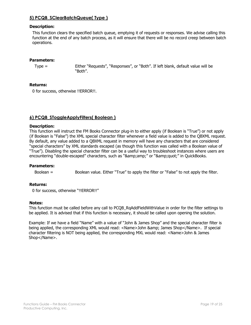## <span id="page-18-0"></span>**5) PCQB\_SClearBatchQueue( Type )**

## **Description:**

This function clears the specified batch queue, emptying it of requests or responses. We advise calling this function at the end of any batch process, as it will ensure that there will be no record creep between batch operations.

#### **Parameters:**

Type = Either "Requests", "Responses", or "Both". If left blank, default value will be "Both".

#### **Returns:**

0 for success, otherwise !!ERROR!!.

## <span id="page-18-1"></span>**6) PCQB\_SToggleApplyFilters( Boolean )**

#### **Description:**

This function will instruct the FM Books Connector plug-in to either apply (if Boolean is "True") or not apply (if Boolean is "False") the XML special character filter whenever a field value is added to the QBXML request. By default, any value added to a QBXML request in memory will have any characters that are considered "special characters" by XML standards escaped (as though this function was called with a Boolean value of "True"). Disabling the special character filter can be a useful way to troubleshoot instances where users are encountering "double-escaped" characters, such as "&" or """ in QuickBooks.

#### **Parameters:**

Boolean = Boolean value. Either "True" to apply the filter or "False" to not apply the filter.

#### **Returns:**

0 for success, otherwise "!!ERROR!!"

#### **Notes:**

This function must be called before any call to PCQB\_RqAddFieldWithValue in order for the filter settings to be applied. It is advised that if this function is necessary, it should be called upon opening the solution.

Example: If we have a field "Name" with a value of "John & James Shop" and the special character filter is being applied, the corresponding XML would read: <Name>John & amp; James Shop</Name>. If special character filtering is NOT being applied, the corresponding MXL would read: <Name>John & James Shop</Name>.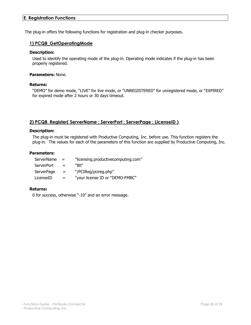## <span id="page-19-0"></span>**E. Registration Functions**

<span id="page-19-1"></span>The plug-in offers the following functions for registration and plug-in checker purposes.

## **1) PCQB\_GetOperatingMode**

## **Description:**

Used to identify the operating mode of the plug-in. Operating mode indicates if the plug-in has been properly registered.

## **Parameters:** None.

#### **Returns:**

"DEMO" for demo mode, "LIVE" for live mode, or "UNREGISTERED" for unregistered mode, or "EXPIRED" for expired mode after 2 hours or 30 days timeout.

## <span id="page-19-2"></span>**2) PCQB\_Register( ServerName ; ServerPort ; ServerPage ; LicenseID )**

#### **Description:**

The plug-in must be registered with Productive Computing, Inc. before use. This function registers the plug-in. The values for each of the parameters of this function are supplied by Productive Computing, Inc.

#### **Parameters:**

| ServerName        | $=$ | "licensing.productivecomputing.com" |
|-------------------|-----|-------------------------------------|
| <b>ServerPort</b> | $=$ | "ጸበ"                                |
| ServerPage        | $=$ | "/PCIReg/pcireg.php"                |
| LicenseID         | $=$ | "your license ID or "DEMO-FMBC"     |

## **Returns:**

0 for success, otherwise "-10" and an error message.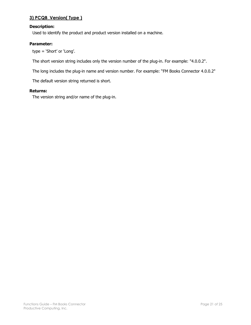## <span id="page-20-0"></span>**3) PCQB\_Version( Type )**

## **Description:**

Used to identify the product and product version installed on a machine.

## **Parameter:**

type = 'Short' or 'Long'.

The short version string includes only the version number of the plug-in. For example: "4.0.0.2".

The long includes the plug-in name and version number. For example: "FM Books Connector 4.0.0.2"

The default version string returned is short.

## **Returns:**

The version string and/or name of the plug-in.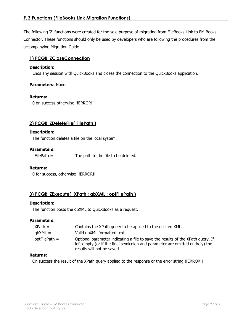## <span id="page-21-0"></span>**F. Z Functions (FileBooks Link Migration Functions)**

The following 'Z' functions were created for the sole purpose of migrating from FileBooks Link to FM Books Connector. These functions should only be used by developers who are following the procedures from the accompanying Migration Guide.

## <span id="page-21-1"></span>**1) PCQB\_ZCloseConnection**

#### **Description:**

Ends any session with QuickBooks and closes the connection to the QuickBooks application.

#### **Parameters:** None.

#### **Returns:**

0 on success otherwise !!ERROR!!

## <span id="page-21-2"></span>**2) PCQB\_ZDeleteFile( FilePath )**

#### **Description:**

The function deletes a file on the local system.

#### **Parameters:**

FilePath = The path to the file to be deleted.

#### **Returns:**

0 for success, otherwise !!ERROR!!

## <span id="page-21-3"></span>**3) PCQB\_ZExecute( XPath ; qbXML ; optFilePath )**

#### **Description:**

The function posts the qbXML to QuickBooks as a request.

#### **Parameters:**

| XPath =       | Contains the XPath query to be applied to the desired XML.                                                                                                                                     |
|---------------|------------------------------------------------------------------------------------------------------------------------------------------------------------------------------------------------|
| qbXML =       | Valid gbXML formatted text.                                                                                                                                                                    |
| optFilePath = | Optional parameter indicating a file to save the results of the XPath guery. If<br>left empty (or if the final semicolon and parameter are omitted entirely) the<br>results will not be saved. |

## **Returns:**

On success the result of the XPath query applied to the response or the error string !!ERROR!!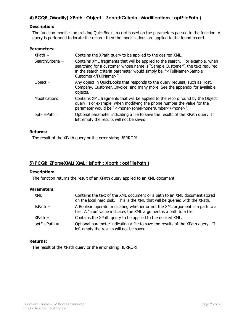## <span id="page-22-0"></span>**Description:**

The function modifies an existing QuickBooks record based on the parameters passed to the function. A query is performed to locate the record, then the modifications are applied to the found record.

#### **Parameters:**

| $XPath =$         | Contains the XPath query to be applied to the desired XML.                                                                                                                                                                                                     |
|-------------------|----------------------------------------------------------------------------------------------------------------------------------------------------------------------------------------------------------------------------------------------------------------|
| SearchCriteria =  | Contains XML fragments that will be applied to the search. For example, when<br>searching for a customer whose name is "Sample Customer", the text required<br>in the search criteria parameter would simply be, " <fullname>Sample<br/>Customer</fullname> ". |
| Object $=$        | Any object in QuickBooks that responds to the query request, such as Host,<br>Company, Customer, Invoice, and many more. See the appendix for available<br>objects.                                                                                            |
| Modifications $=$ | Contains XML fragments that will be applied to the record found by the Object<br>query. For example, when modifying the phone number the value for the<br>parameter would be " <phone>somePhoneNumber</phone> ".                                               |
| $optFilePath =$   | Optional parameter indicating a file to save the results of the XPath guery. If<br>left empty the results will not be saved.                                                                                                                                   |

## **Returns:**

The result of the XPath query or the error string !!ERROR!!

## <span id="page-22-1"></span>**5) PCQB\_ZParseXML( XML ; IsPath ; Xpath ; optFilePath )**

## **Description:**

The function returns the result of an XPath query applied to an XML document.

#### **Parameters:**

| $XML =$         | Contains the text of the XML document or a path to an XML document stored<br>on the local hard disk. This is the XML that will be queried with the XPath. |
|-----------------|-----------------------------------------------------------------------------------------------------------------------------------------------------------|
| $IsPath =$      | A Boolean operator indicating whether or not the XML argument is a path to a<br>file. A 'True' value indicates the XML argument is a path to a file.      |
| $XPath =$       | Contains the XPath query to be applied to the desired XML.                                                                                                |
| $optFilePath =$ | Optional parameter indicating a file to save the results of the XPath query. If<br>left empty the results will not be saved.                              |

## **Returns:**

The result of the XPath query or the error string !!ERROR!!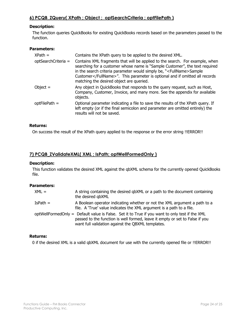## <span id="page-23-0"></span>**Description:**

The function queries QuickBooks for existing QuickBooks records based on the parameters passed to the function.

#### **Parameters:**

| $XPath =$           | Contains the XPath query to be applied to the desired XML.                                                                                                                                                                                                                                                                                                       |
|---------------------|------------------------------------------------------------------------------------------------------------------------------------------------------------------------------------------------------------------------------------------------------------------------------------------------------------------------------------------------------------------|
| optSearchCriteria = | Contains XML fragments that will be applied to the search. For example, when<br>searching for a customer whose name is "Sample Customer", the text required<br>in the search criteria parameter would simply be, " <fullname>Sample<br/>Customer</fullname> ". This parameter is optional and if omitted all records<br>matching the desired object are queried. |
| Object $=$          | Any object in QuickBooks that responds to the query request, such as Host,<br>Company, Customer, Invoice, and many more. See the appendix for available<br>objects.                                                                                                                                                                                              |
| optFilePath =       | Optional parameter indicating a file to save the results of the XPath query. If<br>left empty (or if the final semicolon and parameter are omitted entirely) the<br>results will not be saved.                                                                                                                                                                   |

## **Returns:**

On success the result of the XPath query applied to the response or the error string !!ERROR!!

## <span id="page-23-1"></span>**7) PCQB\_ZValidateXML( XML ; IsPath; optWellFormedOnly )**

#### **Description:**

This function validates the desired XML against the qbXML schema for the currently opened QuickBooks file.

## **Parameters:**

| $XML =$    | A string containing the desired qbXML or a path to the document containing<br>the desired gbXML                                                                                                                                     |
|------------|-------------------------------------------------------------------------------------------------------------------------------------------------------------------------------------------------------------------------------------|
| $IsPath =$ | A Boolean operator indicating whether or not the XML argument a path to a<br>file. A 'True' value indicates the XML argument is a path to a file.                                                                                   |
|            | optWellFormedOnly = Default value is False. Set it to True if you want to only test if the XML<br>passed to the function is well formed, leave it empty or set to False if you<br>want full validation against the QBXML templates. |

#### **Returns:**

0 if the desired XML is a valid qbXML document for use with the currently opened file or !!ERROR!!